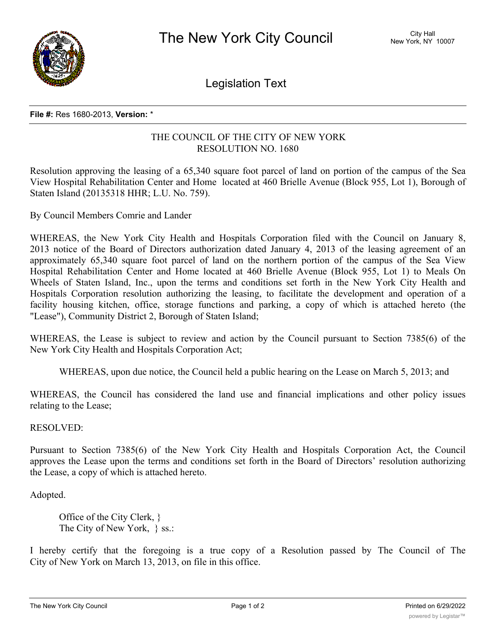

Legislation Text

## **File #:** Res 1680-2013, **Version:** \*

## THE COUNCIL OF THE CITY OF NEW YORK RESOLUTION NO. 1680

Resolution approving the leasing of a 65,340 square foot parcel of land on portion of the campus of the Sea View Hospital Rehabilitation Center and Home located at 460 Brielle Avenue (Block 955, Lot 1), Borough of Staten Island (20135318 HHR; L.U. No. 759).

By Council Members Comrie and Lander

WHEREAS, the New York City Health and Hospitals Corporation filed with the Council on January 8, 2013 notice of the Board of Directors authorization dated January 4, 2013 of the leasing agreement of an approximately 65,340 square foot parcel of land on the northern portion of the campus of the Sea View Hospital Rehabilitation Center and Home located at 460 Brielle Avenue (Block 955, Lot 1) to Meals On Wheels of Staten Island, Inc., upon the terms and conditions set forth in the New York City Health and Hospitals Corporation resolution authorizing the leasing, to facilitate the development and operation of a facility housing kitchen, office, storage functions and parking, a copy of which is attached hereto (the "Lease"), Community District 2, Borough of Staten Island;

WHEREAS, the Lease is subject to review and action by the Council pursuant to Section 7385(6) of the New York City Health and Hospitals Corporation Act;

WHEREAS, upon due notice, the Council held a public hearing on the Lease on March 5, 2013; and

WHEREAS, the Council has considered the land use and financial implications and other policy issues relating to the Lease;

RESOLVED:

Pursuant to Section 7385(6) of the New York City Health and Hospitals Corporation Act, the Council approves the Lease upon the terms and conditions set forth in the Board of Directors' resolution authorizing the Lease, a copy of which is attached hereto.

Adopted.

Office of the City Clerk, } The City of New York, } ss.:

I hereby certify that the foregoing is a true copy of a Resolution passed by The Council of The City of New York on March 13, 2013, on file in this office.